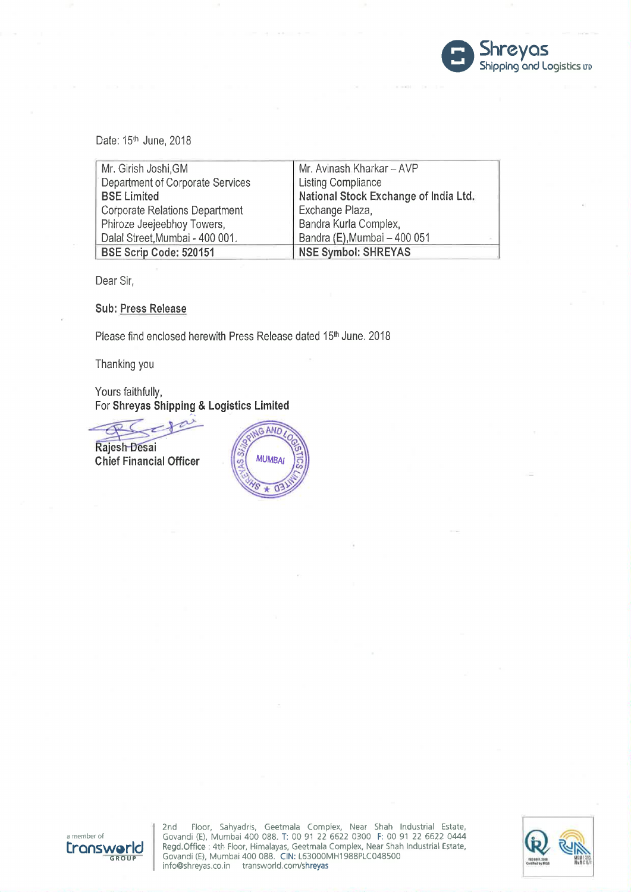

| Date: 15 <sup>th</sup> June, 2018     |                                       |
|---------------------------------------|---------------------------------------|
| Mr. Girish Joshi, GM                  | Mr. Avinash Kharkar - AVP             |
| Department of Corporate Services      | <b>Listing Compliance</b>             |
| <b>BSE Limited</b>                    | National Stock Exchange of India Ltd. |
| <b>Corporate Relations Department</b> | Exchange Plaza,                       |
| Phiroze Jeejeebhoy Towers,            | Bandra Kurla Complex,                 |
| Dalal Street, Mumbai - 400 001.       | Bandra (E), Mumbai - 400 051          |
| BSE Scrip Code: 520151                | <b>NSE Symbol: SHREYAS</b>            |

Dear Sir,

## Sub: Press Release

Please find enclosed herewith Press Release dated 15th June. 2018

Thanking you

Yours faithfully, For Shreyas Shipping & Logistics Limited ours faithfully,<br>or Shreyas Shipping &<br>ajesh Desai<br>hief Financial Officer

 $\overline{\phantom{a}}$ 

Chief Financial Officer





2nd Floor, Sahyadris, Geetmala Complex, Near Shah Industrial Estate, a member of Govandi (E), Mumbai 400 088. T: 00 91 22 6622 0300 F: 00 91 22 6622 0444<br>Regd.Office : 4th Floor, Himalayas, Geetmala Complex, Near Shah Industrial Estate,<br>Govandi (E), Mumbai 400 088. CIN: L63000MH1988PLC04850